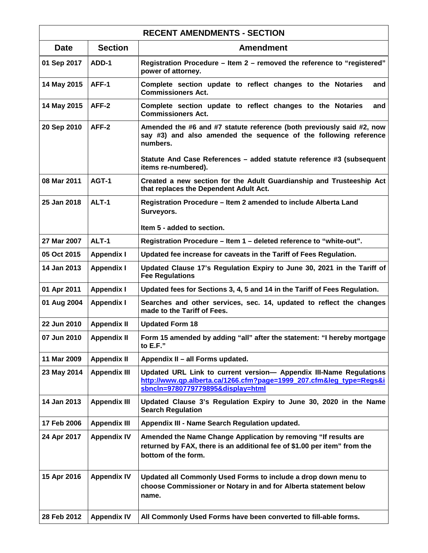| <b>RECENT AMENDMENTS - SECTION</b> |                     |                                                                                                                                                                             |
|------------------------------------|---------------------|-----------------------------------------------------------------------------------------------------------------------------------------------------------------------------|
| <b>Date</b>                        | <b>Section</b>      | <b>Amendment</b>                                                                                                                                                            |
| 01 Sep 2017                        | ADD-1               | Registration Procedure - Item 2 - removed the reference to "registered"<br>power of attorney.                                                                               |
| 14 May 2015                        | AFF-1               | Complete section update to reflect changes to the Notaries<br>and<br><b>Commissioners Act.</b>                                                                              |
| 14 May 2015                        | AFF-2               | Complete section update to reflect changes to the Notaries<br>and<br><b>Commissioners Act.</b>                                                                              |
| 20 Sep 2010                        | AFF-2               | Amended the #6 and #7 statute reference (both previously said #2, now<br>say #3) and also amended the sequence of the following reference<br>numbers.                       |
|                                    |                     | Statute And Case References - added statute reference #3 (subsequent<br>items re-numbered).                                                                                 |
| 08 Mar 2011                        | AGT-1               | Created a new section for the Adult Guardianship and Trusteeship Act<br>that replaces the Dependent Adult Act.                                                              |
| 25 Jan 2018                        | ALT-1               | Registration Procedure - Item 2 amended to include Alberta Land<br>Surveyors.                                                                                               |
|                                    |                     | Item 5 - added to section.                                                                                                                                                  |
| 27 Mar 2007                        | ALT-1               | Registration Procedure - Item 1 - deleted reference to "white-out".                                                                                                         |
| 05 Oct 2015                        | <b>Appendix I</b>   | Updated fee increase for caveats in the Tariff of Fees Regulation.                                                                                                          |
| 14 Jan 2013                        | <b>Appendix I</b>   | Updated Clause 17's Regulation Expiry to June 30, 2021 in the Tariff of<br><b>Fee Regulations</b>                                                                           |
| 01 Apr 2011                        | <b>Appendix I</b>   | Updated fees for Sections 3, 4, 5 and 14 in the Tariff of Fees Regulation.                                                                                                  |
| 01 Aug 2004                        | <b>Appendix I</b>   | Searches and other services, sec. 14, updated to reflect the changes<br>made to the Tariff of Fees.                                                                         |
| 22 Jun 2010                        | <b>Appendix II</b>  | <b>Updated Form 18</b>                                                                                                                                                      |
| 07 Jun 2010                        | <b>Appendix II</b>  | Form 15 amended by adding "all" after the statement: "I hereby mortgage<br>to E.F."                                                                                         |
| 11 Mar 2009                        | <b>Appendix II</b>  | Appendix II - all Forms updated.                                                                                                                                            |
| 23 May 2014                        | <b>Appendix III</b> | Updated URL Link to current version- Appendix III-Name Regulations<br>http://www.qp.alberta.ca/1266.cfm?page=1999_207.cfm⋚_type=Regs&i<br>sbncln=9780779779895&display=html |
| 14 Jan 2013                        | <b>Appendix III</b> | Updated Clause 3's Regulation Expiry to June 30, 2020 in the Name<br><b>Search Regulation</b>                                                                               |
| 17 Feb 2006                        | <b>Appendix III</b> | <b>Appendix III - Name Search Regulation updated.</b>                                                                                                                       |
| 24 Apr 2017                        | <b>Appendix IV</b>  | Amended the Name Change Application by removing "If results are<br>returned by FAX, there is an additional fee of \$1.00 per item" from the<br>bottom of the form.          |
| 15 Apr 2016                        | <b>Appendix IV</b>  | Updated all Commonly Used Forms to include a drop down menu to<br>choose Commissioner or Notary in and for Alberta statement below<br>name.                                 |
| 28 Feb 2012                        | <b>Appendix IV</b>  | All Commonly Used Forms have been converted to fill-able forms.                                                                                                             |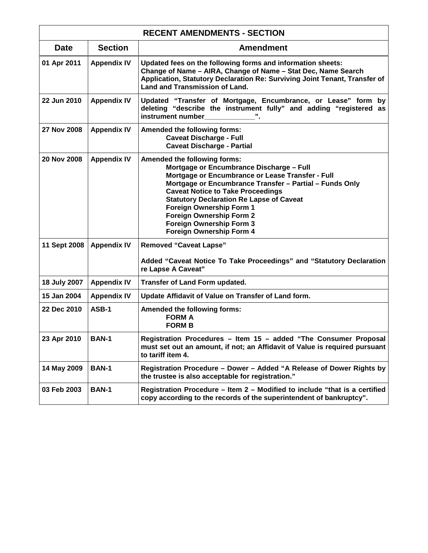| <b>RECENT AMENDMENTS - SECTION</b> |                    |                                                                                                                                                                                                                                                                                                                                                                                                               |
|------------------------------------|--------------------|---------------------------------------------------------------------------------------------------------------------------------------------------------------------------------------------------------------------------------------------------------------------------------------------------------------------------------------------------------------------------------------------------------------|
| <b>Date</b>                        | <b>Section</b>     | <b>Amendment</b>                                                                                                                                                                                                                                                                                                                                                                                              |
| 01 Apr 2011                        | <b>Appendix IV</b> | Updated fees on the following forms and information sheets:<br>Change of Name - AIRA, Change of Name - Stat Dec, Name Search<br>Application, Statutory Declaration Re: Surviving Joint Tenant, Transfer of<br>Land and Transmission of Land.                                                                                                                                                                  |
| 22 Jun 2010                        | <b>Appendix IV</b> | Updated "Transfer of Mortgage, Encumbrance, or Lease" form by<br>deleting "describe the instrument fully" and adding "registered as<br>instrument number                                                                                                                                                                                                                                                      |
| 27 Nov 2008                        | <b>Appendix IV</b> | <b>Amended the following forms:</b><br><b>Caveat Discharge - Full</b><br><b>Caveat Discharge - Partial</b>                                                                                                                                                                                                                                                                                                    |
| 20 Nov 2008                        | <b>Appendix IV</b> | Amended the following forms:<br>Mortgage or Encumbrance Discharge - Full<br>Mortgage or Encumbrance or Lease Transfer - Full<br>Mortgage or Encumbrance Transfer - Partial - Funds Only<br><b>Caveat Notice to Take Proceedings</b><br><b>Statutory Declaration Re Lapse of Caveat</b><br>Foreign Ownership Form 1<br>Foreign Ownership Form 2<br><b>Foreign Ownership Form 3</b><br>Foreign Ownership Form 4 |
| 11 Sept 2008                       | <b>Appendix IV</b> | <b>Removed "Caveat Lapse"</b><br>Added "Caveat Notice To Take Proceedings" and "Statutory Declaration<br>re Lapse A Caveat"                                                                                                                                                                                                                                                                                   |
| 18 July 2007                       | <b>Appendix IV</b> | Transfer of Land Form updated.                                                                                                                                                                                                                                                                                                                                                                                |
| 15 Jan 2004                        | <b>Appendix IV</b> | Update Affidavit of Value on Transfer of Land form.                                                                                                                                                                                                                                                                                                                                                           |
| 22 Dec 2010                        | ASB-1              | <b>Amended the following forms:</b><br><b>FORM A</b><br><b>FORM B</b>                                                                                                                                                                                                                                                                                                                                         |
| 23 Apr 2010                        | <b>BAN-1</b>       | Registration Procedures - Item 15 - added "The Consumer Proposal<br>must set out an amount, if not; an Affidavit of Value is required pursuant<br>to tariff item 4.                                                                                                                                                                                                                                           |
| 14 May 2009                        | <b>BAN-1</b>       | Registration Procedure - Dower - Added "A Release of Dower Rights by<br>the trustee is also acceptable for registration."                                                                                                                                                                                                                                                                                     |
| 03 Feb 2003                        | <b>BAN-1</b>       | Registration Procedure – Item 2 – Modified to include "that is a certified<br>copy according to the records of the superintendent of bankruptcy".                                                                                                                                                                                                                                                             |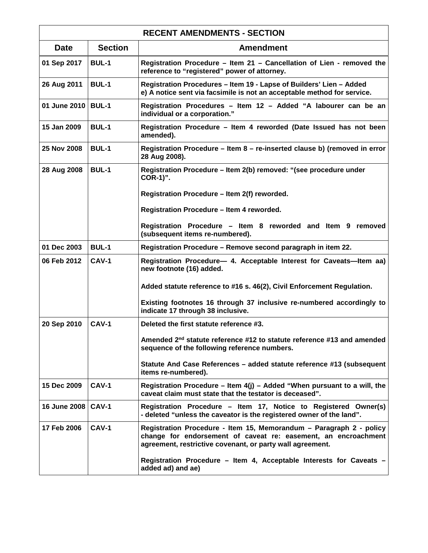| <b>RECENT AMENDMENTS - SECTION</b> |                |                                                                                                                                                                                                    |
|------------------------------------|----------------|----------------------------------------------------------------------------------------------------------------------------------------------------------------------------------------------------|
| <b>Date</b>                        | <b>Section</b> | <b>Amendment</b>                                                                                                                                                                                   |
| 01 Sep 2017                        | <b>BUL-1</b>   | Registration Procedure - Item 21 - Cancellation of Lien - removed the<br>reference to "registered" power of attorney.                                                                              |
| 26 Aug 2011                        | <b>BUL-1</b>   | Registration Procedures - Item 19 - Lapse of Builders' Lien - Added<br>e) A notice sent via facsimile is not an acceptable method for service.                                                     |
| 01 June 2010   BUL-1               |                | Registration Procedures - Item 12 - Added "A labourer can be an<br>individual or a corporation."                                                                                                   |
| 15 Jan 2009                        | <b>BUL-1</b>   | Registration Procedure - Item 4 reworded (Date Issued has not been<br>amended).                                                                                                                    |
| 25 Nov 2008                        | <b>BUL-1</b>   | Registration Procedure – Item 8 – re-inserted clause b) (removed in error<br>28 Aug 2008).                                                                                                         |
| 28 Aug 2008                        | <b>BUL-1</b>   | Registration Procedure - Item 2(b) removed: "(see procedure under<br>COR-1)".                                                                                                                      |
|                                    |                | Registration Procedure - Item 2(f) reworded.                                                                                                                                                       |
|                                    |                | Registration Procedure - Item 4 reworded.                                                                                                                                                          |
|                                    |                | Registration Procedure - Item 8 reworded and Item 9 removed<br>(subsequent items re-numbered).                                                                                                     |
| 01 Dec 2003                        | <b>BUL-1</b>   | Registration Procedure - Remove second paragraph in item 22.                                                                                                                                       |
| 06 Feb 2012                        | $CAV-1$        | Registration Procedure- 4. Acceptable Interest for Caveats-Item aa)<br>new footnote (16) added.                                                                                                    |
|                                    |                | Added statute reference to #16 s. 46(2), Civil Enforcement Regulation.                                                                                                                             |
|                                    |                | Existing footnotes 16 through 37 inclusive re-numbered accordingly to<br>indicate 17 through 38 inclusive.                                                                                         |
| 20 Sep 2010                        | CAV-1          | Deleted the first statute reference #3.                                                                                                                                                            |
|                                    |                | Amended 2 <sup>nd</sup> statute reference #12 to statute reference #13 and amended<br>sequence of the following reference numbers.                                                                 |
|                                    |                | Statute And Case References - added statute reference #13 (subsequent<br>items re-numbered).                                                                                                       |
| 15 Dec 2009                        | <b>CAV-1</b>   | Registration Procedure – Item $4(j)$ – Added "When pursuant to a will, the<br>caveat claim must state that the testator is deceased".                                                              |
| 16 June 2008                       | <b>CAV-1</b>   | Registration Procedure - Item 17, Notice to Registered Owner(s)<br>- deleted "unless the caveator is the registered owner of the land".                                                            |
| 17 Feb 2006                        | <b>CAV-1</b>   | Registration Procedure - Item 15, Memorandum - Paragraph 2 - policy<br>change for endorsement of caveat re: easement, an encroachment<br>agreement, restrictive covenant, or party wall agreement. |
|                                    |                | Registration Procedure - Item 4, Acceptable Interests for Caveats -<br>added ad) and ae)                                                                                                           |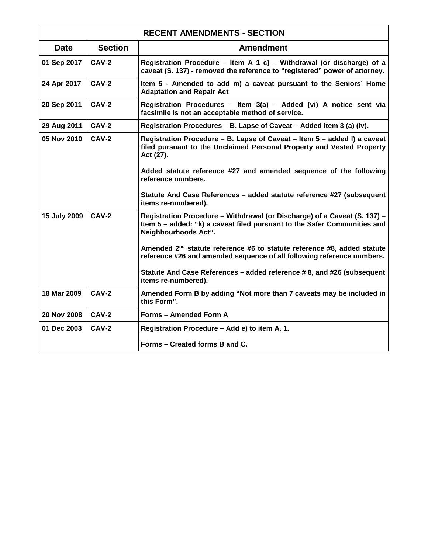| <b>RECENT AMENDMENTS - SECTION</b> |                |                                                                                                                                                                               |
|------------------------------------|----------------|-------------------------------------------------------------------------------------------------------------------------------------------------------------------------------|
| <b>Date</b>                        | <b>Section</b> | <b>Amendment</b>                                                                                                                                                              |
| 01 Sep 2017                        | <b>CAV-2</b>   | Registration Procedure - Item A 1 c) - Withdrawal (or discharge) of a<br>caveat (S. 137) - removed the reference to "registered" power of attorney.                           |
| 24 Apr 2017                        | <b>CAV-2</b>   | Item 5 - Amended to add m) a caveat pursuant to the Seniors' Home<br><b>Adaptation and Repair Act</b>                                                                         |
| 20 Sep 2011                        | CAV-2          | Registration Procedures - Item 3(a) - Added (vi) A notice sent via<br>facsimile is not an acceptable method of service.                                                       |
| 29 Aug 2011                        | CAV-2          | Registration Procedures - B. Lapse of Caveat - Added item 3 (a) (iv).                                                                                                         |
| 05 Nov 2010                        | CAV-2          | Registration Procedure - B. Lapse of Caveat - Item 5 - added I) a caveat<br>filed pursuant to the Unclaimed Personal Property and Vested Property<br>Act (27).                |
|                                    |                | Added statute reference #27 and amended sequence of the following<br>reference numbers.                                                                                       |
|                                    |                | Statute And Case References - added statute reference #27 (subsequent<br>items re-numbered).                                                                                  |
| 15 July 2009                       | CAV-2          | Registration Procedure - Withdrawal (or Discharge) of a Caveat (S. 137) -<br>Item 5 - added: "k) a caveat filed pursuant to the Safer Communities and<br>Neighbourhoods Act". |
|                                    |                | Amended 2 <sup>nd</sup> statute reference #6 to statute reference #8, added statute<br>reference #26 and amended sequence of all following reference numbers.                 |
|                                    |                | Statute And Case References - added reference # 8, and #26 (subsequent<br>items re-numbered).                                                                                 |
| 18 Mar 2009                        | <b>CAV-2</b>   | Amended Form B by adding "Not more than 7 caveats may be included in<br>this Form".                                                                                           |
| 20 Nov 2008                        | CAV-2          | Forms - Amended Form A                                                                                                                                                        |
| 01 Dec 2003                        | <b>CAV-2</b>   | Registration Procedure - Add e) to item A. 1.                                                                                                                                 |
|                                    |                | Forms – Created forms B and C.                                                                                                                                                |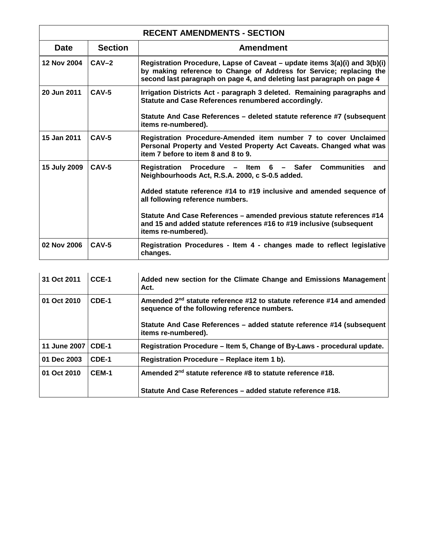| <b>RECENT AMENDMENTS - SECTION</b> |                |                                                                                                                                                                                                                             |
|------------------------------------|----------------|-----------------------------------------------------------------------------------------------------------------------------------------------------------------------------------------------------------------------------|
| <b>Date</b>                        | <b>Section</b> | Amendment                                                                                                                                                                                                                   |
| 12 Nov 2004                        | $CAV-2$        | Registration Procedure, Lapse of Caveat – update items 3(a)(i) and 3(b)(i)<br>by making reference to Change of Address for Service; replacing the<br>second last paragraph on page 4, and deleting last paragraph on page 4 |
| 20 Jun 2011                        | $CAV-5$        | Irrigation Districts Act - paragraph 3 deleted. Remaining paragraphs and<br>Statute and Case References renumbered accordingly.                                                                                             |
|                                    |                | Statute And Case References – deleted statute reference #7 (subsequent<br>items re-numbered).                                                                                                                               |
| 15 Jan 2011                        | $CAV-5$        | Registration Procedure-Amended item number 7 to cover Unclaimed<br>Personal Property and Vested Property Act Caveats. Changed what was<br>item 7 before to item 8 and 8 to 9.                                               |
| 15 July 2009                       | $CAV-5$        | <b>Communities</b><br>Registration Procedure - Item 6 - Safer<br>and<br>Neighbourhoods Act, R.S.A. 2000, c S-0.5 added.                                                                                                     |
|                                    |                | Added statute reference #14 to #19 inclusive and amended sequence of<br>all following reference numbers.                                                                                                                    |
|                                    |                | Statute And Case References - amended previous statute references #14<br>and 15 and added statute references #16 to #19 inclusive (subsequent<br>items re-numbered).                                                        |
| 02 Nov 2006                        | $CAV-5$        | Registration Procedures - Item 4 - changes made to reflect legislative<br>changes.                                                                                                                                          |

| 31 Oct 2011  | CCE-1 | Added new section for the Climate Change and Emissions Management<br>Act.                                                          |
|--------------|-------|------------------------------------------------------------------------------------------------------------------------------------|
| 01 Oct 2010  | CDE-1 | Amended 2 <sup>nd</sup> statute reference #12 to statute reference #14 and amended<br>sequence of the following reference numbers. |
|              |       | Statute And Case References – added statute reference #14 (subsequent<br>items re-numbered).                                       |
| 11 June 2007 | CDE-1 | Registration Procedure – Item 5, Change of By-Laws - procedural update.                                                            |
| 01 Dec 2003  | CDE-1 | Registration Procedure - Replace item 1 b).                                                                                        |
| 01 Oct 2010  | CEM-1 | Amended 2 <sup>nd</sup> statute reference #8 to statute reference #18.                                                             |
|              |       | Statute And Case References – added statute reference #18.                                                                         |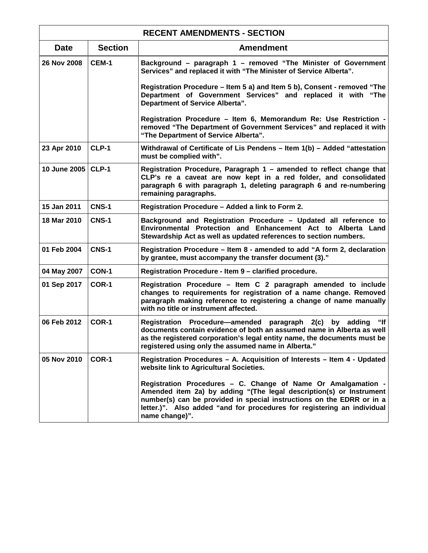| <b>RECENT AMENDMENTS - SECTION</b> |                |                                                                                                                                                                                                                                                                                                            |
|------------------------------------|----------------|------------------------------------------------------------------------------------------------------------------------------------------------------------------------------------------------------------------------------------------------------------------------------------------------------------|
| <b>Date</b>                        | <b>Section</b> | <b>Amendment</b>                                                                                                                                                                                                                                                                                           |
| 26 Nov 2008                        | <b>CEM-1</b>   | Background – paragraph 1 – removed "The Minister of Government<br>Services" and replaced it with "The Minister of Service Alberta".                                                                                                                                                                        |
|                                    |                | Registration Procedure – Item 5 a) and Item 5 b), Consent - removed "The<br>Department of Government Services" and replaced it with "The<br><b>Department of Service Alberta".</b>                                                                                                                         |
|                                    |                | Registration Procedure - Item 6, Memorandum Re: Use Restriction -<br>removed "The Department of Government Services" and replaced it with<br>"The Department of Service Alberta".                                                                                                                          |
| 23 Apr 2010                        | CLP-1          | Withdrawal of Certificate of Lis Pendens – Item 1(b) – Added "attestation<br>must be complied with".                                                                                                                                                                                                       |
| 10 June 2005   CLP-1               |                | Registration Procedure, Paragraph 1 – amended to reflect change that<br>CLP's re a caveat are now kept in a red folder, and consolidated<br>paragraph 6 with paragraph 1, deleting paragraph 6 and re-numbering<br>remaining paragraphs.                                                                   |
| 15 Jan 2011                        | <b>CNS-1</b>   | Registration Procedure - Added a link to Form 2.                                                                                                                                                                                                                                                           |
| 18 Mar 2010                        | <b>CNS-1</b>   | Background and Registration Procedure - Updated all reference to<br>Environmental Protection and Enhancement Act to Alberta Land<br>Stewardship Act as well as updated references to section numbers.                                                                                                      |
| 01 Feb 2004                        | <b>CNS-1</b>   | Registration Procedure – Item 8 - amended to add "A form 2, declaration<br>by grantee, must accompany the transfer document (3)."                                                                                                                                                                          |
| 04 May 2007                        | CON-1          | Registration Procedure - Item 9 - clarified procedure.                                                                                                                                                                                                                                                     |
| 01 Sep 2017                        | COR-1          | Registration Procedure – Item C 2 paragraph amended to include<br>changes to requirements for registration of a name change. Removed<br>paragraph making reference to registering a change of name manually<br>with no title or instrument affected.                                                       |
| 06 Feb 2012                        | COR-1          | " $\mathsf{If}$<br>Registration Procedure—amended paragraph 2(c) by adding<br>documents contain evidence of both an assumed name in Alberta as well<br>as the registered corporation's legal entity name, the documents must be<br>registered using only the assumed name in Alberta."                     |
| 05 Nov 2010                        | COR-1          | Registration Procedures - A. Acquisition of Interests - Item 4 - Updated<br>website link to Agricultural Societies.                                                                                                                                                                                        |
|                                    |                | Registration Procedures - C. Change of Name Or Amalgamation -<br>Amended item 2a) by adding "(The legal description(s) or Instrument<br>number(s) can be provided in special instructions on the EDRR or in a<br>letter.)". Also added "and for procedures for registering an individual<br>name change)". |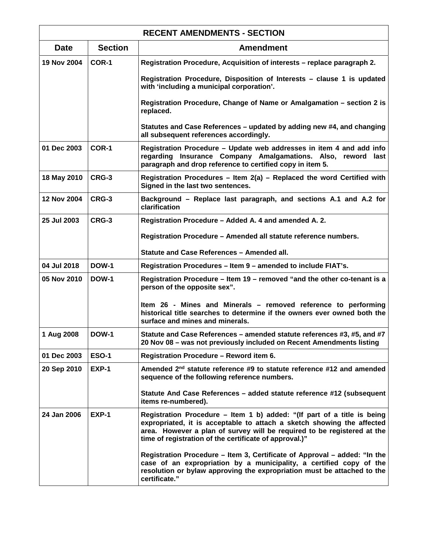| <b>RECENT AMENDMENTS - SECTION</b> |                |                                                                                                                                                                                                                                                                                        |
|------------------------------------|----------------|----------------------------------------------------------------------------------------------------------------------------------------------------------------------------------------------------------------------------------------------------------------------------------------|
| <b>Date</b>                        | <b>Section</b> | <b>Amendment</b>                                                                                                                                                                                                                                                                       |
| 19 Nov 2004                        | COR-1          | Registration Procedure, Acquisition of interests - replace paragraph 2.                                                                                                                                                                                                                |
|                                    |                | Registration Procedure, Disposition of Interests - clause 1 is updated<br>with 'including a municipal corporation'.                                                                                                                                                                    |
|                                    |                | Registration Procedure, Change of Name or Amalgamation - section 2 is<br>replaced.                                                                                                                                                                                                     |
|                                    |                | Statutes and Case References – updated by adding new #4, and changing<br>all subsequent references accordingly.                                                                                                                                                                        |
| 01 Dec 2003                        | COR-1          | Registration Procedure - Update web addresses in item 4 and add info<br>regarding Insurance Company Amalgamations. Also, reword last<br>paragraph and drop reference to certified copy in item 5.                                                                                      |
| 18 May 2010                        | CRG-3          | Registration Procedures - Item 2(a) - Replaced the word Certified with<br>Signed in the last two sentences.                                                                                                                                                                            |
| 12 Nov 2004                        | CRG-3          | Background - Replace last paragraph, and sections A.1 and A.2 for<br>clarification                                                                                                                                                                                                     |
| 25 Jul 2003                        | CRG-3          | Registration Procedure - Added A. 4 and amended A. 2.                                                                                                                                                                                                                                  |
|                                    |                | Registration Procedure - Amended all statute reference numbers.                                                                                                                                                                                                                        |
|                                    |                | Statute and Case References - Amended all.                                                                                                                                                                                                                                             |
| 04 Jul 2018                        | <b>DOW-1</b>   | Registration Procedures - Item 9 - amended to include FIAT's.                                                                                                                                                                                                                          |
| 05 Nov 2010                        | DOW-1          | Registration Procedure – Item 19 – removed "and the other co-tenant is a<br>person of the opposite sex".                                                                                                                                                                               |
|                                    |                | Item 26 - Mines and Minerals – removed reference to performing<br>historical title searches to determine if the owners ever owned both the<br>surface and mines and minerals.                                                                                                          |
| 1 Aug 2008                         | <b>DOW-1</b>   | Statute and Case References – amended statute references #3, #5, and #7<br>20 Nov 08 - was not previously included on Recent Amendments listing                                                                                                                                        |
| 01 Dec 2003                        | <b>ESO-1</b>   | Registration Procedure - Reword item 6.                                                                                                                                                                                                                                                |
| 20 Sep 2010                        | EXP-1          | Amended 2 <sup>nd</sup> statute reference #9 to statute reference #12 and amended<br>sequence of the following reference numbers.                                                                                                                                                      |
|                                    |                | Statute And Case References - added statute reference #12 (subsequent<br>items re-numbered).                                                                                                                                                                                           |
| 24 Jan 2006                        | <b>EXP-1</b>   | Registration Procedure – Item 1 b) added: "(If part of a title is being<br>expropriated, it is acceptable to attach a sketch showing the affected<br>area. However a plan of survey will be required to be registered at the<br>time of registration of the certificate of approval.)" |
|                                    |                | Registration Procedure – Item 3, Certificate of Approval – added: "In the<br>case of an expropriation by a municipality, a certified copy of the<br>resolution or bylaw approving the expropriation must be attached to the<br>certificate."                                           |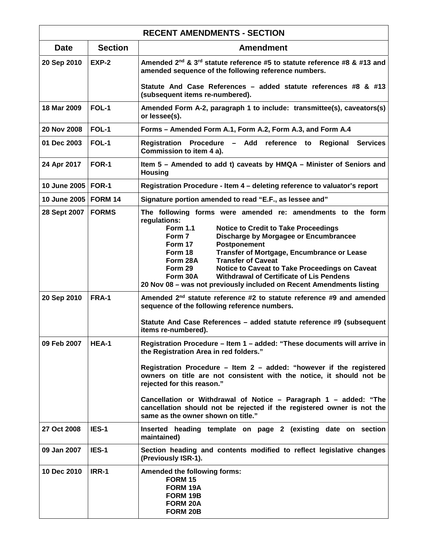| <b>RECENT AMENDMENTS - SECTION</b> |                |                                                                                                                                                                                                                                                                                                                                                                                                                                                                                                                                   |
|------------------------------------|----------------|-----------------------------------------------------------------------------------------------------------------------------------------------------------------------------------------------------------------------------------------------------------------------------------------------------------------------------------------------------------------------------------------------------------------------------------------------------------------------------------------------------------------------------------|
| <b>Date</b>                        | <b>Section</b> | <b>Amendment</b>                                                                                                                                                                                                                                                                                                                                                                                                                                                                                                                  |
| 20 Sep 2010                        | EXP-2          | Amended 2nd & 3rd statute reference #5 to statute reference #8 & #13 and<br>amended sequence of the following reference numbers.                                                                                                                                                                                                                                                                                                                                                                                                  |
|                                    |                | Statute And Case References - added statute references #8 & #13<br>(subsequent items re-numbered).                                                                                                                                                                                                                                                                                                                                                                                                                                |
| 18 Mar 2009                        | FOL-1          | Amended Form A-2, paragraph 1 to include: transmittee(s), caveators(s)<br>or lessee(s).                                                                                                                                                                                                                                                                                                                                                                                                                                           |
| 20 Nov 2008                        | FOL-1          | Forms – Amended Form A.1, Form A.2, Form A.3, and Form A.4                                                                                                                                                                                                                                                                                                                                                                                                                                                                        |
| 01 Dec 2003                        | FOL-1          | Registration Procedure - Add reference to<br><b>Regional Services</b><br>Commission to item 4 a).                                                                                                                                                                                                                                                                                                                                                                                                                                 |
| 24 Apr 2017                        | FOR-1          | Item 5 – Amended to add t) caveats by HMQA – Minister of Seniors and<br><b>Housing</b>                                                                                                                                                                                                                                                                                                                                                                                                                                            |
| 10 June 2005   FOR-1               |                | Registration Procedure - Item 4 - deleting reference to valuator's report                                                                                                                                                                                                                                                                                                                                                                                                                                                         |
| 10 June 2005                       | <b>FORM 14</b> | Signature portion amended to read "E.F., as lessee and"                                                                                                                                                                                                                                                                                                                                                                                                                                                                           |
| 28 Sept 2007                       | <b>FORMS</b>   | The following forms were amended re: amendments to the form<br>regulations:<br><b>Form 1.1</b><br><b>Notice to Credit to Take Proceedings</b><br>Form 7<br>Discharge by Morgagee or Encumbrancee<br>Postponement<br>Form 17<br>Transfer of Mortgage, Encumbrance or Lease<br>Form 18<br>Form 28A<br><b>Transfer of Caveat</b><br>Form 29<br>Notice to Caveat to Take Proceedings on Caveat<br><b>Withdrawal of Certificate of Lis Pendens</b><br>Form 30A<br>20 Nov 08 - was not previously included on Recent Amendments listing |
| 20 Sep 2010                        | FRA-1          | Amended 2 <sup>nd</sup> statute reference #2 to statute reference #9 and amended<br>sequence of the following reference numbers.<br>Statute And Case References - added statute reference #9 (subsequent<br>items re-numbered).                                                                                                                                                                                                                                                                                                   |
| 09 Feb 2007                        | HEA-1          | Registration Procedure – Item 1 – added: "These documents will arrive in<br>the Registration Area in red folders."<br>Registration Procedure - Item 2 - added: "however if the registered<br>owners on title are not consistent with the notice, it should not be<br>rejected for this reason."<br>Cancellation or Withdrawal of Notice - Paragraph 1 - added: "The<br>cancellation should not be rejected if the registered owner is not the<br>same as the owner shown on title."                                               |
| 27 Oct 2008                        | IES-1          | Inserted heading template on page 2 (existing date on section<br>maintained)                                                                                                                                                                                                                                                                                                                                                                                                                                                      |
| 09 Jan 2007                        | IES-1          | Section heading and contents modified to reflect legislative changes<br>(Previously ISR-1).                                                                                                                                                                                                                                                                                                                                                                                                                                       |
| 10 Dec 2010                        | IRR-1          | Amended the following forms:<br><b>FORM 15</b><br>FORM 19A<br>FORM 19B<br>FORM 20A<br>FORM 20B                                                                                                                                                                                                                                                                                                                                                                                                                                    |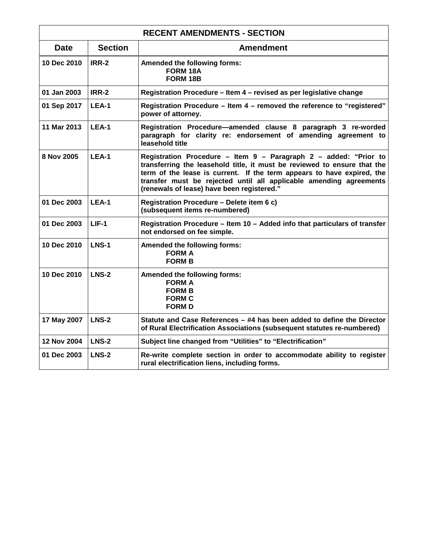| <b>RECENT AMENDMENTS - SECTION</b> |                |                                                                                                                                                                                                                                                                                                                                            |
|------------------------------------|----------------|--------------------------------------------------------------------------------------------------------------------------------------------------------------------------------------------------------------------------------------------------------------------------------------------------------------------------------------------|
| <b>Date</b>                        | <b>Section</b> | <b>Amendment</b>                                                                                                                                                                                                                                                                                                                           |
| 10 Dec 2010                        | IRR-2          | Amended the following forms:<br>FORM 18A<br>FORM 18B                                                                                                                                                                                                                                                                                       |
| 01 Jan 2003                        | IRR-2          | Registration Procedure - Item 4 - revised as per legislative change                                                                                                                                                                                                                                                                        |
| 01 Sep 2017                        | LEA-1          | Registration Procedure - Item 4 - removed the reference to "registered"<br>power of attorney.                                                                                                                                                                                                                                              |
| 11 Mar 2013                        | LEA-1          | Registration Procedure-amended clause 8 paragraph 3 re-worded<br>paragraph for clarity re: endorsement of amending agreement to<br>leasehold title                                                                                                                                                                                         |
| 8 Nov 2005                         | LEA-1          | Registration Procedure - Item 9 - Paragraph 2 - added: "Prior to<br>transferring the leasehold title, it must be reviewed to ensure that the<br>term of the lease is current. If the term appears to have expired, the<br>transfer must be rejected until all applicable amending agreements<br>(renewals of lease) have been registered." |
| 01 Dec 2003                        | LEA-1          | Registration Procedure - Delete item 6 c)<br>(subsequent items re-numbered)                                                                                                                                                                                                                                                                |
| 01 Dec 2003                        | $LIF-1$        | Registration Procedure - Item 10 - Added info that particulars of transfer<br>not endorsed on fee simple.                                                                                                                                                                                                                                  |
| 10 Dec 2010                        | <b>LNS-1</b>   | Amended the following forms:<br><b>FORM A</b><br><b>FORM B</b>                                                                                                                                                                                                                                                                             |
| 10 Dec 2010                        | <b>LNS-2</b>   | Amended the following forms:<br><b>FORM A</b><br><b>FORM B</b><br><b>FORM C</b><br><b>FORM D</b>                                                                                                                                                                                                                                           |
| 17 May 2007                        | <b>LNS-2</b>   | Statute and Case References - #4 has been added to define the Director<br>of Rural Electrification Associations (subsequent statutes re-numbered)                                                                                                                                                                                          |
| <b>12 Nov 2004</b>                 | LNS-2          | Subject line changed from "Utilities" to "Electrification"                                                                                                                                                                                                                                                                                 |
| 01 Dec 2003                        | <b>LNS-2</b>   | Re-write complete section in order to accommodate ability to register<br>rural electrification liens, including forms.                                                                                                                                                                                                                     |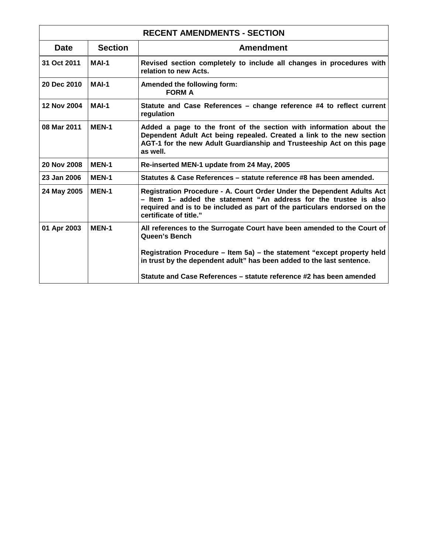| <b>RECENT AMENDMENTS - SECTION</b> |                |                                                                                                                                                                                                                                                    |
|------------------------------------|----------------|----------------------------------------------------------------------------------------------------------------------------------------------------------------------------------------------------------------------------------------------------|
| <b>Date</b>                        | <b>Section</b> | <b>Amendment</b>                                                                                                                                                                                                                                   |
| 31 Oct 2011                        | MAI-1          | Revised section completely to include all changes in procedures with<br>relation to new Acts.                                                                                                                                                      |
| 20 Dec 2010                        | MAI-1          | Amended the following form:<br><b>FORM A</b>                                                                                                                                                                                                       |
| 12 Nov 2004                        | MAI-1          | Statute and Case References – change reference #4 to reflect current<br>regulation                                                                                                                                                                 |
| 08 Mar 2011                        | <b>MEN-1</b>   | Added a page to the front of the section with information about the<br>Dependent Adult Act being repealed. Created a link to the new section<br>AGT-1 for the new Adult Guardianship and Trusteeship Act on this page<br>as well.                  |
| 20 Nov 2008                        | <b>MEN-1</b>   | Re-inserted MEN-1 update from 24 May, 2005                                                                                                                                                                                                         |
| 23 Jan 2006                        | <b>MEN-1</b>   | Statutes & Case References – statute reference #8 has been amended.                                                                                                                                                                                |
| 24 May 2005                        | <b>MEN-1</b>   | Registration Procedure - A. Court Order Under the Dependent Adults Act<br>- Item 1- added the statement "An address for the trustee is also<br>required and is to be included as part of the particulars endorsed on the<br>certificate of title." |
| 01 Apr 2003                        | <b>MEN-1</b>   | All references to the Surrogate Court have been amended to the Court of<br>Queen's Bench                                                                                                                                                           |
|                                    |                | Registration Procedure - Item 5a) - the statement "except property held<br>in trust by the dependent adult" has been added to the last sentence.                                                                                                   |
|                                    |                | Statute and Case References - statute reference #2 has been amended                                                                                                                                                                                |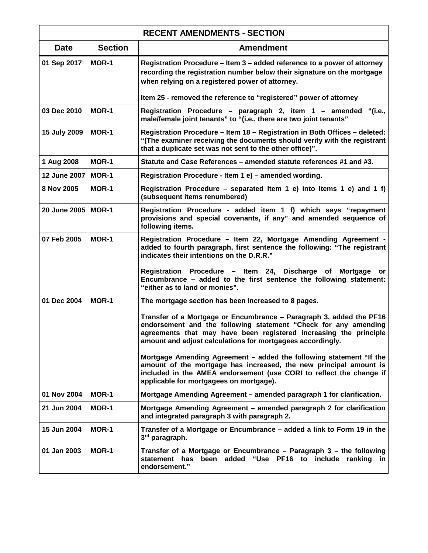| <b>RECENT AMENDMENTS - SECTION</b> |                |                                                                                                                                                                                                                                                                                                                                                                   |
|------------------------------------|----------------|-------------------------------------------------------------------------------------------------------------------------------------------------------------------------------------------------------------------------------------------------------------------------------------------------------------------------------------------------------------------|
| <b>Date</b>                        | <b>Section</b> | <b>Amendment</b>                                                                                                                                                                                                                                                                                                                                                  |
| 01 Sep 2017                        | MOR-1          | Registration Procedure – Item 3 – added reference to a power of attorney<br>recording the registration number below their signature on the mortgage<br>when relying on a registered power of attorney.                                                                                                                                                            |
|                                    |                | Item 25 - removed the reference to "registered" power of attorney                                                                                                                                                                                                                                                                                                 |
| 03 Dec 2010                        | <b>MOR-1</b>   | Registration Procedure - paragraph 2, item 1 - amended "(i.e.,<br>male/female joint tenants" to "(i.e., there are two joint tenants"                                                                                                                                                                                                                              |
| 15 July 2009                       | MOR-1          | Registration Procedure - Item 18 - Registration in Both Offices - deleted:<br>"(The examiner receiving the documents should verify with the registrant<br>that a duplicate set was not sent to the other office)".                                                                                                                                                |
| 1 Aug 2008                         | MOR-1          | Statute and Case References - amended statute references #1 and #3.                                                                                                                                                                                                                                                                                               |
| 12 June 2007                       | MOR-1          | Registration Procedure - Item 1 e) - amended wording.                                                                                                                                                                                                                                                                                                             |
| 8 Nov 2005                         | <b>MOR-1</b>   | Registration Procedure – separated Item 1 e) into Items 1 e) and 1 f)<br>(subsequent items renumbered)                                                                                                                                                                                                                                                            |
| 20 June 2005                       | MOR-1          | Registration Procedure - added item 1 f) which says "repayment<br>provisions and special covenants, if any" and amended sequence of<br>following items.                                                                                                                                                                                                           |
| 07 Feb 2005                        | <b>MOR-1</b>   | Registration Procedure - Item 22, Mortgage Amending Agreement -<br>added to fourth paragraph, first sentence the following: "The registrant<br>indicates their intentions on the D.R.R."<br>Registration Procedure - Item 24, Discharge of Mortgage<br>or<br>Encumbrance - added to the first sentence the following statement:<br>"either as to land or monies". |
| 01 Dec 2004                        | <b>MOR-1</b>   | The mortgage section has been increased to 8 pages.                                                                                                                                                                                                                                                                                                               |
|                                    |                | Transfer of a Mortgage or Encumbrance – Paragraph 3, added the PF16<br>endorsement and the following statement "Check for any amending<br>agreements that may have been registered increasing the principle<br>amount and adjust calculations for mortgagees accordingly.                                                                                         |
|                                    |                | Mortgage Amending Agreement – added the following statement "If the<br>amount of the mortgage has increased, the new principal amount is<br>included in the AMEA endorsement (use CORI to reflect the change if<br>applicable for mortgagees on mortgage).                                                                                                        |
| 01 Nov 2004                        | MOR-1          | Mortgage Amending Agreement - amended paragraph 1 for clarification.                                                                                                                                                                                                                                                                                              |
| 21 Jun 2004                        | MOR-1          | Mortgage Amending Agreement - amended paragraph 2 for clarification<br>and integrated paragraph 3 with paragraph 2.                                                                                                                                                                                                                                               |
| 15 Jun 2004                        | <b>MOR-1</b>   | Transfer of a Mortgage or Encumbrance – added a link to Form 19 in the<br>3rd paragraph.                                                                                                                                                                                                                                                                          |
| 01 Jan 2003                        | <b>MOR-1</b>   | Transfer of a Mortgage or Encumbrance - Paragraph 3 - the following<br>been added "Use PF16 to include ranking in<br>statement has<br>endorsement."                                                                                                                                                                                                               |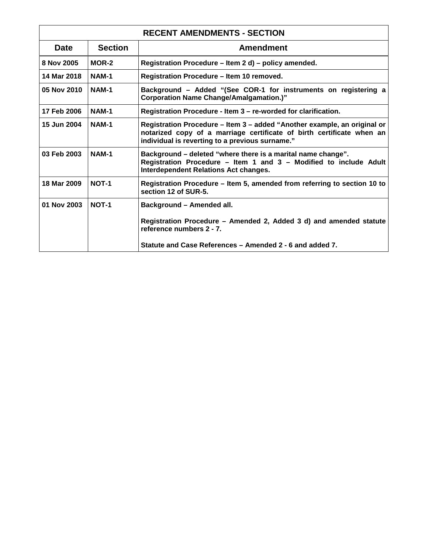| <b>RECENT AMENDMENTS - SECTION</b> |                |                                                                                                                                                                                                      |
|------------------------------------|----------------|------------------------------------------------------------------------------------------------------------------------------------------------------------------------------------------------------|
| <b>Date</b>                        | <b>Section</b> | <b>Amendment</b>                                                                                                                                                                                     |
| 8 Nov 2005                         | MOR-2          | Registration Procedure - Item 2 d) - policy amended.                                                                                                                                                 |
| 14 Mar 2018                        | <b>NAM-1</b>   | Registration Procedure - Item 10 removed.                                                                                                                                                            |
| 05 Nov 2010                        | NAM-1          | Background – Added "(See COR-1 for instruments on registering a<br><b>Corporation Name Change/Amalgamation.)"</b>                                                                                    |
| 17 Feb 2006                        | <b>NAM-1</b>   | Registration Procedure - Item 3 - re-worded for clarification.                                                                                                                                       |
| 15 Jun 2004                        | <b>NAM-1</b>   | Registration Procedure – Item 3 – added "Another example, an original or<br>notarized copy of a marriage certificate of birth certificate when an<br>individual is reverting to a previous surname." |
| 03 Feb 2003                        | <b>NAM-1</b>   | Background - deleted "where there is a marital name change".<br>Registration Procedure - Item 1 and 3 - Modified to include Adult<br><b>Interdependent Relations Act changes.</b>                    |
| 18 Mar 2009                        | NOT-1          | Registration Procedure – Item 5, amended from referring to section 10 to<br>section 12 of SUR-5.                                                                                                     |
| 01 Nov 2003                        | NOT-1          | Background - Amended all.                                                                                                                                                                            |
|                                    |                | Registration Procedure - Amended 2, Added 3 d) and amended statute<br>reference numbers 2 - 7.                                                                                                       |
|                                    |                | Statute and Case References – Amended 2 - 6 and added 7.                                                                                                                                             |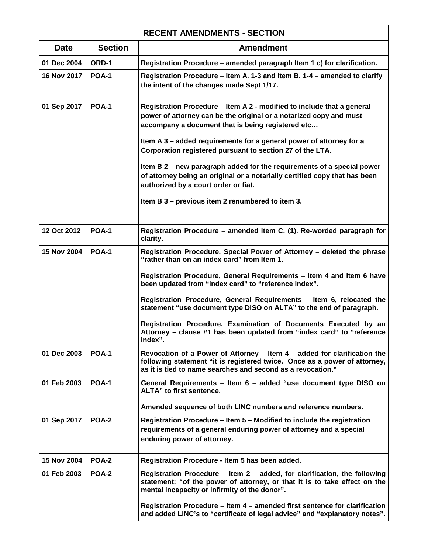| <b>RECENT AMENDMENTS - SECTION</b> |                |                                                                                                                                                                                                                      |
|------------------------------------|----------------|----------------------------------------------------------------------------------------------------------------------------------------------------------------------------------------------------------------------|
| <b>Date</b>                        | <b>Section</b> | <b>Amendment</b>                                                                                                                                                                                                     |
| 01 Dec 2004                        | ORD-1          | Registration Procedure – amended paragraph Item 1 c) for clarification.                                                                                                                                              |
| 16 Nov 2017                        | <b>POA-1</b>   | Registration Procedure - Item A. 1-3 and Item B. 1-4 - amended to clarify<br>the intent of the changes made Sept 1/17.                                                                                               |
| 01 Sep 2017                        | <b>POA-1</b>   | Registration Procedure – Item A 2 - modified to include that a general<br>power of attorney can be the original or a notarized copy and must<br>accompany a document that is being registered etc                    |
|                                    |                | Item A 3 - added requirements for a general power of attorney for a<br>Corporation registered pursuant to section 27 of the LTA.                                                                                     |
|                                    |                | Item B 2 – new paragraph added for the requirements of a special power<br>of attorney being an original or a notarially certified copy that has been<br>authorized by a court order or fiat.                         |
|                                    |                | Item B 3 - previous item 2 renumbered to item 3.                                                                                                                                                                     |
| 12 Oct 2012                        | <b>POA-1</b>   | Registration Procedure - amended item C. (1). Re-worded paragraph for<br>clarity.                                                                                                                                    |
| 15 Nov 2004                        | <b>POA-1</b>   | Registration Procedure, Special Power of Attorney - deleted the phrase<br>"rather than on an index card" from Item 1.                                                                                                |
|                                    |                | Registration Procedure, General Requirements - Item 4 and Item 6 have<br>been updated from "index card" to "reference index".                                                                                        |
|                                    |                | Registration Procedure, General Requirements - Item 6, relocated the<br>statement "use document type DISO on ALTA" to the end of paragraph.                                                                          |
|                                    |                | Registration Procedure, Examination of Documents Executed by an<br>Attorney – clause #1 has been updated from "index card" to "reference<br>index".                                                                  |
| 01 Dec 2003                        | <b>POA-1</b>   | Revocation of a Power of Attorney - Item 4 - added for clarification the<br>following statement "it is registered twice. Once as a power of attorney,<br>as it is tied to name searches and second as a revocation." |
| 01 Feb 2003                        | <b>POA-1</b>   | General Requirements - Item 6 - added "use document type DISO on<br>ALTA" to first sentence.                                                                                                                         |
|                                    |                | Amended sequence of both LINC numbers and reference numbers.                                                                                                                                                         |
| 01 Sep 2017                        | <b>POA-2</b>   | Registration Procedure – Item 5 – Modified to include the registration<br>requirements of a general enduring power of attorney and a special<br>enduring power of attorney.                                          |
| 15 Nov 2004                        | POA-2          | Registration Procedure - Item 5 has been added.                                                                                                                                                                      |
| 01 Feb 2003                        | <b>POA-2</b>   | Registration Procedure – Item 2 – added, for clarification, the following<br>statement: "of the power of attorney, or that it is to take effect on the<br>mental incapacity or infirmity of the donor".              |
|                                    |                | Registration Procedure - Item 4 - amended first sentence for clarification<br>and added LINC's to "certificate of legal advice" and "explanatory notes".                                                             |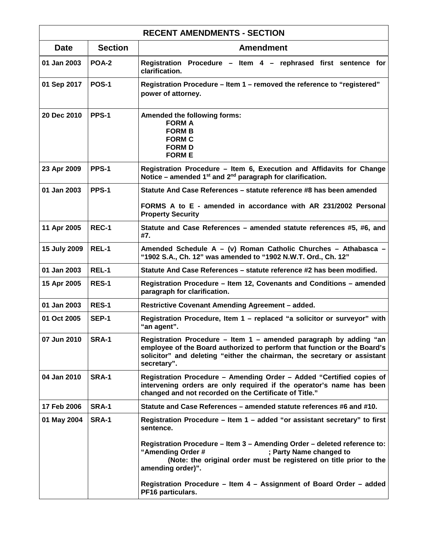| <b>RECENT AMENDMENTS - SECTION</b> |                |                                                                                                                                                                                                                                          |
|------------------------------------|----------------|------------------------------------------------------------------------------------------------------------------------------------------------------------------------------------------------------------------------------------------|
| <b>Date</b>                        | <b>Section</b> | <b>Amendment</b>                                                                                                                                                                                                                         |
| 01 Jan 2003                        | POA-2          | Registration Procedure - Item 4 - rephrased first sentence for<br>clarification.                                                                                                                                                         |
| 01 Sep 2017                        | <b>POS-1</b>   | Registration Procedure - Item 1 - removed the reference to "registered"<br>power of attorney.                                                                                                                                            |
| 20 Dec 2010                        | PPS-1          | Amended the following forms:<br><b>FORM A</b><br><b>FORM B</b><br><b>FORM C</b><br><b>FORM D</b><br><b>FORM E</b>                                                                                                                        |
| 23 Apr 2009                        | PPS-1          | Registration Procedure - Item 6, Execution and Affidavits for Change<br>Notice – amended $1^{st}$ and $2^{nd}$ paragraph for clarification.                                                                                              |
| 01 Jan 2003                        | PPS-1          | Statute And Case References – statute reference #8 has been amended                                                                                                                                                                      |
|                                    |                | FORMS A to E - amended in accordance with AR 231/2002 Personal<br><b>Property Security</b>                                                                                                                                               |
| 11 Apr 2005                        | REC-1          | Statute and Case References - amended statute references #5, #6, and<br>#7.                                                                                                                                                              |
| 15 July 2009                       | REL-1          | Amended Schedule A - (v) Roman Catholic Churches - Athabasca -<br>"1902 S.A., Ch. 12" was amended to "1902 N.W.T. Ord., Ch. 12"                                                                                                          |
| 01 Jan 2003                        | REL-1          | Statute And Case References - statute reference #2 has been modified.                                                                                                                                                                    |
| 15 Apr 2005                        | <b>RES-1</b>   | Registration Procedure - Item 12, Covenants and Conditions - amended<br>paragraph for clarification.                                                                                                                                     |
| 01 Jan 2003                        | <b>RES-1</b>   | <b>Restrictive Covenant Amending Agreement - added.</b>                                                                                                                                                                                  |
| 01 Oct 2005                        | SEP-1          | Registration Procedure, Item 1 - replaced "a solicitor or surveyor" with<br>"an agent".                                                                                                                                                  |
| 07 Jun 2010                        | SRA-1          | Registration Procedure - Item 1 - amended paragraph by adding "an<br>employee of the Board authorized to perform that function or the Board's<br>solicitor" and deleting "either the chairman, the secretary or assistant<br>secretary". |
| 04 Jan 2010                        | <b>SRA-1</b>   | Registration Procedure - Amending Order - Added "Certified copies of<br>intervening orders are only required if the operator's name has been<br>changed and not recorded on the Certificate of Title."                                   |
| 17 Feb 2006                        | <b>SRA-1</b>   | Statute and Case References – amended statute references #6 and #10.                                                                                                                                                                     |
| 01 May 2004                        | <b>SRA-1</b>   | Registration Procedure - Item 1 - added "or assistant secretary" to first<br>sentence.                                                                                                                                                   |
|                                    |                | Registration Procedure – Item 3 – Amending Order – deleted reference to:<br>"Amending Order #<br>; Party Name changed to<br>(Note: the original order must be registered on title prior to the<br>amending order)".                      |
|                                    |                | Registration Procedure - Item 4 - Assignment of Board Order - added<br>PF16 particulars.                                                                                                                                                 |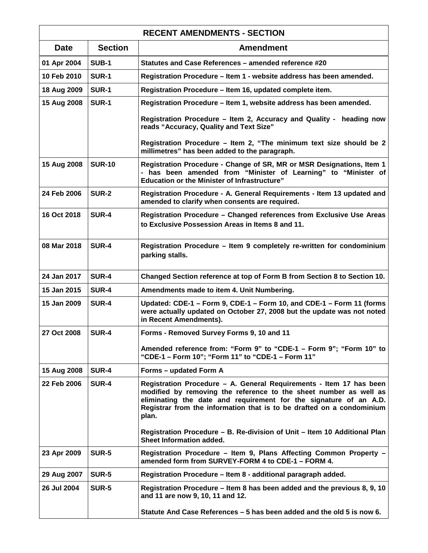| <b>RECENT AMENDMENTS - SECTION</b> |                |                                                                                                                                                                                                                                                                                                 |
|------------------------------------|----------------|-------------------------------------------------------------------------------------------------------------------------------------------------------------------------------------------------------------------------------------------------------------------------------------------------|
| <b>Date</b>                        | <b>Section</b> | <b>Amendment</b>                                                                                                                                                                                                                                                                                |
| 01 Apr 2004                        | <b>SUB-1</b>   | Statutes and Case References - amended reference #20                                                                                                                                                                                                                                            |
| 10 Feb 2010                        | <b>SUR-1</b>   | Registration Procedure - Item 1 - website address has been amended.                                                                                                                                                                                                                             |
| 18 Aug 2009                        | <b>SUR-1</b>   | Registration Procedure - Item 16, updated complete item.                                                                                                                                                                                                                                        |
| 15 Aug 2008                        | <b>SUR-1</b>   | Registration Procedure - Item 1, website address has been amended.                                                                                                                                                                                                                              |
|                                    |                | Registration Procedure - Item 2, Accuracy and Quality - heading now<br>reads "Accuracy, Quality and Text Size"                                                                                                                                                                                  |
|                                    |                | Registration Procedure - Item 2, "The minimum text size should be 2<br>millimetres" has been added to the paragraph.                                                                                                                                                                            |
| 15 Aug 2008                        | <b>SUR-10</b>  | Registration Procedure - Change of SR, MR or MSR Designations, Item 1<br>- has been amended from "Minister of Learning" to "Minister of<br><b>Education or the Minister of Infrastructure"</b>                                                                                                  |
| 24 Feb 2006                        | <b>SUR-2</b>   | Registration Procedure - A. General Requirements - Item 13 updated and<br>amended to clarify when consents are required.                                                                                                                                                                        |
| 16 Oct 2018                        | <b>SUR-4</b>   | Registration Procedure - Changed references from Exclusive Use Areas<br>to Exclusive Possession Areas in Items 8 and 11.                                                                                                                                                                        |
| 08 Mar 2018                        | <b>SUR-4</b>   | Registration Procedure - Item 9 completely re-written for condominium<br>parking stalls.                                                                                                                                                                                                        |
| 24 Jan 2017                        | <b>SUR-4</b>   | Changed Section reference at top of Form B from Section 8 to Section 10.                                                                                                                                                                                                                        |
| 15 Jan 2015                        | <b>SUR-4</b>   | Amendments made to item 4. Unit Numbering.                                                                                                                                                                                                                                                      |
| 15 Jan 2009                        | <b>SUR-4</b>   | Updated: CDE-1 - Form 9, CDE-1 - Form 10, and CDE-1 - Form 11 (forms<br>were actually updated on October 27, 2008 but the update was not noted<br>in Recent Amendments).                                                                                                                        |
| 27 Oct 2008                        | <b>SUR-4</b>   | Forms - Removed Survey Forms 9, 10 and 11                                                                                                                                                                                                                                                       |
|                                    |                | Amended reference from: "Form 9" to "CDE-1 - Form 9"; "Form 10" to<br>"CDE-1 - Form 10": "Form 11" to "CDE-1 - Form 11"                                                                                                                                                                         |
| 15 Aug 2008                        | <b>SUR-4</b>   | Forms – updated Form A                                                                                                                                                                                                                                                                          |
| 22 Feb 2006                        | <b>SUR-4</b>   | Registration Procedure - A. General Requirements - Item 17 has been<br>modified by removing the reference to the sheet number as well as<br>eliminating the date and requirement for the signature of an A.D.<br>Registrar from the information that is to be drafted on a condominium<br>plan. |
|                                    |                | Registration Procedure - B. Re-division of Unit - Item 10 Additional Plan<br>Sheet Information added.                                                                                                                                                                                           |
| 23 Apr 2009                        | <b>SUR-5</b>   | Registration Procedure - Item 9, Plans Affecting Common Property -<br>amended form from SURVEY-FORM 4 to CDE-1 - FORM 4.                                                                                                                                                                        |
| 29 Aug 2007                        | SUR-5          | Registration Procedure – Item 8 - additional paragraph added.                                                                                                                                                                                                                                   |
| 26 Jul 2004                        | <b>SUR-5</b>   | Registration Procedure - Item 8 has been added and the previous 8, 9, 10<br>and 11 are now 9, 10, 11 and 12.                                                                                                                                                                                    |
|                                    |                | Statute And Case References - 5 has been added and the old 5 is now 6.                                                                                                                                                                                                                          |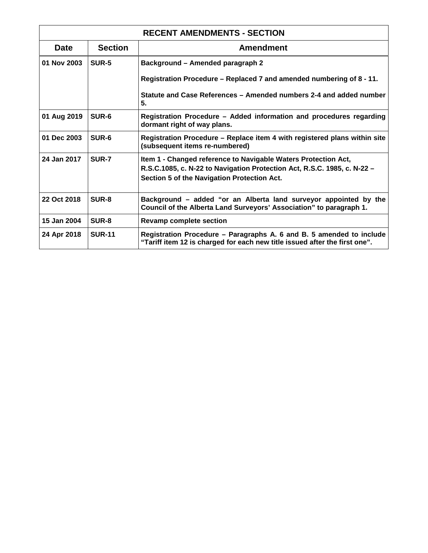| <b>RECENT AMENDMENTS - SECTION</b> |                |                                                                                                                                                                                           |
|------------------------------------|----------------|-------------------------------------------------------------------------------------------------------------------------------------------------------------------------------------------|
| <b>Date</b>                        | <b>Section</b> | <b>Amendment</b>                                                                                                                                                                          |
| 01 Nov 2003                        | SUR-5          | Background - Amended paragraph 2                                                                                                                                                          |
|                                    |                | Registration Procedure - Replaced 7 and amended numbering of 8 - 11.                                                                                                                      |
|                                    |                | Statute and Case References – Amended numbers 2-4 and added number<br>5.                                                                                                                  |
| 01 Aug 2019                        | SUR-6          | Registration Procedure - Added information and procedures regarding<br>dormant right of way plans.                                                                                        |
| 01 Dec 2003                        | SUR-6          | Registration Procedure - Replace item 4 with registered plans within site<br>(subsequent items re-numbered)                                                                               |
| 24 Jan 2017                        | SUR-7          | Item 1 - Changed reference to Navigable Waters Protection Act,<br>R.S.C.1085, c. N-22 to Navigation Protection Act, R.S.C. 1985, c. N-22 -<br>Section 5 of the Navigation Protection Act. |
| 22 Oct 2018                        | SUR-8          | Background – added "or an Alberta land surveyor appointed by the<br>Council of the Alberta Land Surveyors' Association" to paragraph 1.                                                   |
| 15 Jan 2004                        | SUR-8          | <b>Revamp complete section</b>                                                                                                                                                            |
| 24 Apr 2018                        | <b>SUR-11</b>  | Registration Procedure - Paragraphs A. 6 and B. 5 amended to include<br>"Tariff item 12 is charged for each new title issued after the first one".                                        |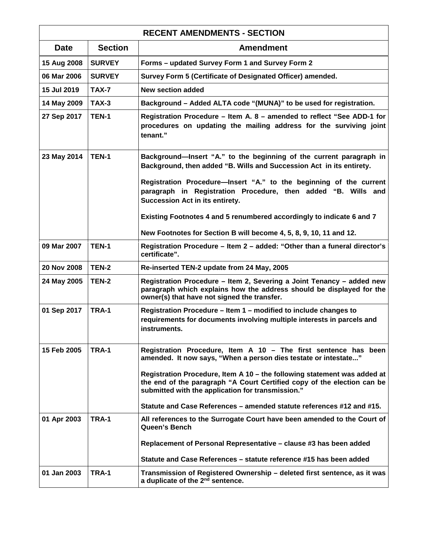| <b>RECENT AMENDMENTS - SECTION</b> |                |                                                                                                                                                                                                          |
|------------------------------------|----------------|----------------------------------------------------------------------------------------------------------------------------------------------------------------------------------------------------------|
| <b>Date</b>                        | <b>Section</b> | <b>Amendment</b>                                                                                                                                                                                         |
| 15 Aug 2008                        | <b>SURVEY</b>  | Forms - updated Survey Form 1 and Survey Form 2                                                                                                                                                          |
| 06 Mar 2006                        | <b>SURVEY</b>  | Survey Form 5 (Certificate of Designated Officer) amended.                                                                                                                                               |
| 15 Jul 2019                        | TAX-7          | <b>New section added</b>                                                                                                                                                                                 |
| 14 May 2009                        | $TAX-3$        | Background - Added ALTA code "(MUNA)" to be used for registration.                                                                                                                                       |
| 27 Sep 2017                        | <b>TEN-1</b>   | Registration Procedure - Item A. 8 - amended to reflect "See ADD-1 for<br>procedures on updating the mailing address for the surviving joint<br>tenant."                                                 |
| 23 May 2014                        | <b>TEN-1</b>   | Background-Insert "A." to the beginning of the current paragraph in<br>Background, then added "B. Wills and Succession Act in its entirety.                                                              |
|                                    |                | Registration Procedure-Insert "A." to the beginning of the current<br>paragraph in Registration Procedure, then added "B. Wills and<br>Succession Act in its entirety.                                   |
|                                    |                | Existing Footnotes 4 and 5 renumbered accordingly to indicate 6 and 7                                                                                                                                    |
|                                    |                | New Footnotes for Section B will become 4, 5, 8, 9, 10, 11 and 12.                                                                                                                                       |
| 09 Mar 2007                        | TEN-1          | Registration Procedure - Item 2 - added: "Other than a funeral director's<br>certificate".                                                                                                               |
| 20 Nov 2008                        | TEN-2          | Re-inserted TEN-2 update from 24 May, 2005                                                                                                                                                               |
| 24 May 2005                        | <b>TEN-2</b>   | Registration Procedure - Item 2, Severing a Joint Tenancy - added new<br>paragraph which explains how the address should be displayed for the<br>owner(s) that have not signed the transfer.             |
| 01 Sep 2017                        | TRA-1          | Registration Procedure - Item 1 - modified to include changes to<br>requirements for documents involving multiple interests in parcels and<br>instruments.                                               |
| 15 Feb 2005                        | TRA-1          | Registration Procedure, Item A 10 - The first sentence has been<br>amended. It now says, "When a person dies testate or intestate"                                                                       |
|                                    |                | Registration Procedure, Item A 10 - the following statement was added at<br>the end of the paragraph "A Court Certified copy of the election can be<br>submitted with the application for transmission." |
|                                    |                | Statute and Case References - amended statute references #12 and #15.                                                                                                                                    |
| 01 Apr 2003                        | <b>TRA-1</b>   | All references to the Surrogate Court have been amended to the Court of<br>Queen's Bench                                                                                                                 |
|                                    |                | Replacement of Personal Representative – clause #3 has been added                                                                                                                                        |
|                                    |                | Statute and Case References – statute reference #15 has been added                                                                                                                                       |
| 01 Jan 2003                        | TRA-1          | Transmission of Registered Ownership - deleted first sentence, as it was<br>a duplicate of the 2 <sup>nd</sup> sentence.                                                                                 |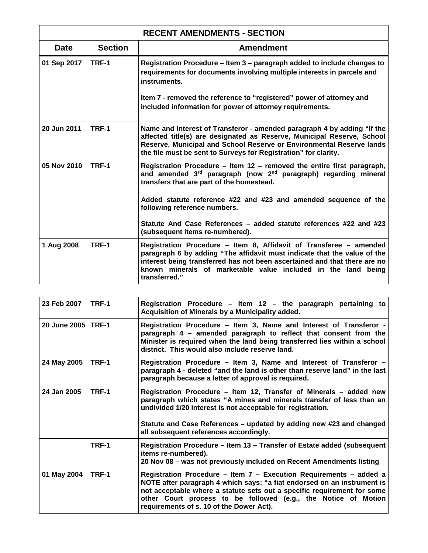| <b>RECENT AMENDMENTS - SECTION</b> |                |                                                                                                                                                                                                                                                                                                               |  |
|------------------------------------|----------------|---------------------------------------------------------------------------------------------------------------------------------------------------------------------------------------------------------------------------------------------------------------------------------------------------------------|--|
| <b>Date</b>                        | <b>Section</b> | <b>Amendment</b>                                                                                                                                                                                                                                                                                              |  |
| 01 Sep 2017                        | TRF-1          | Registration Procedure – Item 3 – paragraph added to include changes to<br>requirements for documents involving multiple interests in parcels and<br>instruments.                                                                                                                                             |  |
|                                    |                | Item 7 - removed the reference to "registered" power of attorney and<br>included information for power of attorney requirements.                                                                                                                                                                              |  |
| 20 Jun 2011                        | TRF-1          | Name and Interest of Transferor - amended paragraph 4 by adding "If the<br>affected title(s) are designated as Reserve, Municipal Reserve, School<br>Reserve, Municipal and School Reserve or Environmental Reserve lands<br>the file must be sent to Surveys for Registration" for clarity.                  |  |
| 05 Nov 2010                        | TRF-1          | Registration Procedure – Item 12 – removed the entire first paragraph,<br>and amended 3rd paragraph (now 2nd paragraph) regarding mineral<br>transfers that are part of the homestead.                                                                                                                        |  |
|                                    |                | Added statute reference #22 and #23 and amended sequence of the<br>following reference numbers.                                                                                                                                                                                                               |  |
|                                    |                | Statute And Case References – added statute references #22 and #23<br>(subsequent items re-numbered).                                                                                                                                                                                                         |  |
| 1 Aug 2008                         | TRF-1          | Registration Procedure - Item 8, Affidavit of Transferee - amended<br>paragraph 6 by adding "The affidavit must indicate that the value of the<br>interest being transferred has not been ascertained and that there are no<br>known minerals of marketable value included in the land being<br>transferred." |  |

| 23 Feb 2007          | $ITRF-1$ | Registration Procedure - Item 12 - the paragraph pertaining to<br>Acquisition of Minerals by a Municipality added.                                                                                                                                                                                                                     |
|----------------------|----------|----------------------------------------------------------------------------------------------------------------------------------------------------------------------------------------------------------------------------------------------------------------------------------------------------------------------------------------|
| 20 June 2005   TRF-1 |          | Registration Procedure - Item 3, Name and Interest of Transferor -<br>paragraph 4 - amended paragraph to reflect that consent from the<br>Minister is required when the land being transferred lies within a school<br>district. This would also include reserve land.                                                                 |
| 24 May 2005          | TRF-1    | Registration Procedure - Item 3, Name and Interest of Transferor -<br>paragraph 4 - deleted "and the land is other than reserve land" in the last<br>paragraph because a letter of approval is required.                                                                                                                               |
| 24 Jan 2005          | TRF-1    | Registration Procedure - Item 12, Transfer of Minerals - added new<br>paragraph which states "A mines and minerals transfer of less than an<br>undivided 1/20 interest is not acceptable for registration.<br>Statute and Case References – updated by adding new #23 and changed<br>all subsequent references accordingly.            |
|                      | TRF-1    | Registration Procedure – Item 13 – Transfer of Estate added (subsequent<br>items re-numbered).<br>20 Nov 08 - was not previously included on Recent Amendments listing                                                                                                                                                                 |
| 01 May 2004          | TRF-1    | Registration Procedure - Item 7 - Execution Requirements - added a<br>NOTE after paragraph 4 which says: "a fiat endorsed on an instrument is<br>not acceptable where a statute sets out a specific requirement for some<br>other Court process to be followed (e.g., the Notice of Motion<br>requirements of s. 10 of the Dower Act). |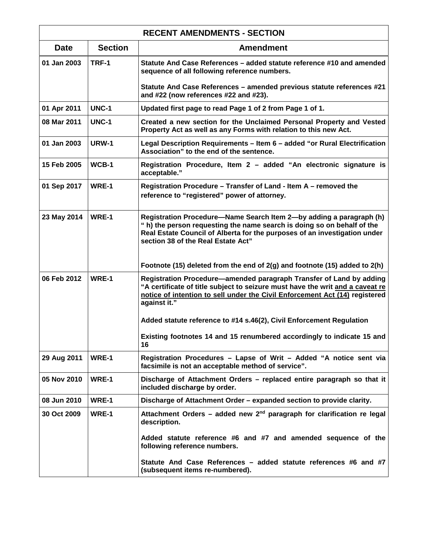| <b>RECENT AMENDMENTS - SECTION</b> |                |                                                                                                                                                                                                                                                                   |  |
|------------------------------------|----------------|-------------------------------------------------------------------------------------------------------------------------------------------------------------------------------------------------------------------------------------------------------------------|--|
| <b>Date</b>                        | <b>Section</b> | <b>Amendment</b>                                                                                                                                                                                                                                                  |  |
| 01 Jan 2003                        | TRF-1          | Statute And Case References - added statute reference #10 and amended<br>sequence of all following reference numbers.                                                                                                                                             |  |
|                                    |                | Statute And Case References - amended previous statute references #21<br>and #22 (now references #22 and #23).                                                                                                                                                    |  |
| 01 Apr 2011                        | <b>UNC-1</b>   | Updated first page to read Page 1 of 2 from Page 1 of 1.                                                                                                                                                                                                          |  |
| 08 Mar 2011                        | <b>UNC-1</b>   | Created a new section for the Unclaimed Personal Property and Vested<br>Property Act as well as any Forms with relation to this new Act.                                                                                                                          |  |
| 01 Jan 2003                        | <b>URW-1</b>   | Legal Description Requirements - Item 6 - added "or Rural Electrification<br>Association" to the end of the sentence.                                                                                                                                             |  |
| 15 Feb 2005                        | WCB-1          | Registration Procedure, Item 2 - added "An electronic signature is<br>acceptable."                                                                                                                                                                                |  |
| 01 Sep 2017                        | WRE-1          | Registration Procedure – Transfer of Land - Item A – removed the<br>reference to "registered" power of attorney.                                                                                                                                                  |  |
| 23 May 2014                        | WRE-1          | Registration Procedure-Name Search Item 2-by adding a paragraph (h)<br>" h) the person requesting the name search is doing so on behalf of the<br>Real Estate Council of Alberta for the purposes of an investigation under<br>section 38 of the Real Estate Act" |  |
|                                    |                | Footnote (15) deleted from the end of 2(g) and footnote (15) added to 2(h)                                                                                                                                                                                        |  |
| 06 Feb 2012                        | WRE-1          | Registration Procedure-amended paragraph Transfer of Land by adding<br>"A certificate of title subject to seizure must have the writ and a caveat re<br>notice of intention to sell under the Civil Enforcement Act (14) registered<br>against it."               |  |
|                                    |                | Added statute reference to #14 s.46(2), Civil Enforcement Regulation                                                                                                                                                                                              |  |
|                                    |                | Existing footnotes 14 and 15 renumbered accordingly to indicate 15 and<br>16                                                                                                                                                                                      |  |
| 29 Aug 2011                        | WRE-1          | Registration Procedures - Lapse of Writ - Added "A notice sent via<br>facsimile is not an acceptable method of service".                                                                                                                                          |  |
| 05 Nov 2010                        | WRE-1          | Discharge of Attachment Orders - replaced entire paragraph so that it<br>included discharge by order.                                                                                                                                                             |  |
| 08 Jun 2010                        | WRE-1          | Discharge of Attachment Order - expanded section to provide clarity.                                                                                                                                                                                              |  |
| 30 Oct 2009                        | WRE-1          | Attachment Orders – added new $2nd$ paragraph for clarification re legal<br>description.                                                                                                                                                                          |  |
|                                    |                | Added statute reference #6 and #7 and amended sequence of the<br>following reference numbers.                                                                                                                                                                     |  |
|                                    |                | Statute And Case References - added statute references #6 and #7<br>(subsequent items re-numbered).                                                                                                                                                               |  |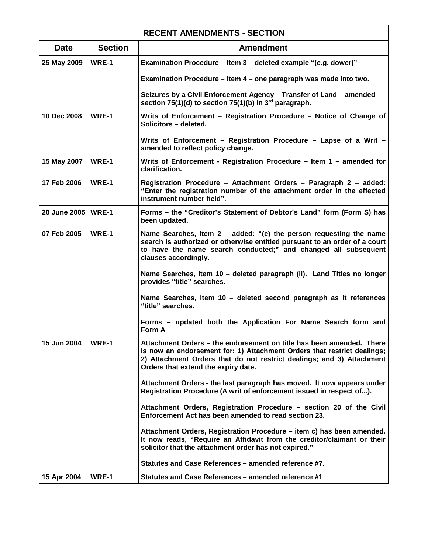| <b>RECENT AMENDMENTS - SECTION</b> |                |                                                                                                                                                                                                                                                                 |
|------------------------------------|----------------|-----------------------------------------------------------------------------------------------------------------------------------------------------------------------------------------------------------------------------------------------------------------|
| <b>Date</b>                        | <b>Section</b> | <b>Amendment</b>                                                                                                                                                                                                                                                |
| 25 May 2009                        | WRE-1          | Examination Procedure - Item 3 - deleted example "(e.g. dower)"                                                                                                                                                                                                 |
|                                    |                | Examination Procedure - Item 4 - one paragraph was made into two.                                                                                                                                                                                               |
|                                    |                | Seizures by a Civil Enforcement Agency - Transfer of Land - amended<br>section 75(1)(d) to section 75(1)(b) in 3 <sup>rd</sup> paragraph.                                                                                                                       |
| 10 Dec 2008                        | WRE-1          | Writs of Enforcement – Registration Procedure – Notice of Change of<br>Solicitors - deleted.                                                                                                                                                                    |
|                                    |                | Writs of Enforcement - Registration Procedure - Lapse of a Writ -<br>amended to reflect policy change.                                                                                                                                                          |
| 15 May 2007                        | WRE-1          | Writs of Enforcement - Registration Procedure - Item 1 - amended for<br>clarification.                                                                                                                                                                          |
| 17 Feb 2006                        | WRE-1          | Registration Procedure - Attachment Orders - Paragraph 2 - added:<br>"Enter the registration number of the attachment order in the effected<br>instrument number field".                                                                                        |
| 20 June 2005   WRE-1               |                | Forms - the "Creditor's Statement of Debtor's Land" form (Form S) has<br>been updated.                                                                                                                                                                          |
| 07 Feb 2005                        | WRE-1          | Name Searches, Item $2$ – added: "(e) the person requesting the name<br>search is authorized or otherwise entitled pursuant to an order of a court<br>to have the name search conducted;" and changed all subsequent<br>clauses accordingly.                    |
|                                    |                | Name Searches, Item 10 - deleted paragraph (ii). Land Titles no longer<br>provides "title" searches.                                                                                                                                                            |
|                                    |                | Name Searches, Item 10 - deleted second paragraph as it references<br>"title" searches.                                                                                                                                                                         |
|                                    |                | Forms – updated both the Application For Name Search form and<br>Form A                                                                                                                                                                                         |
| 15 Jun 2004                        | WRE-1          | Attachment Orders - the endorsement on title has been amended. There<br>is now an endorsement for: 1) Attachment Orders that restrict dealings;<br>2) Attachment Orders that do not restrict dealings; and 3) Attachment<br>Orders that extend the expiry date. |
|                                    |                | Attachment Orders - the last paragraph has moved. It now appears under<br>Registration Procedure (A writ of enforcement issued in respect of).                                                                                                                  |
|                                    |                | Attachment Orders, Registration Procedure - section 20 of the Civil<br>Enforcement Act has been amended to read section 23.                                                                                                                                     |
|                                    |                | Attachment Orders, Registration Procedure - item c) has been amended.<br>It now reads, "Require an Affidavit from the creditor/claimant or their<br>solicitor that the attachment order has not expired."                                                       |
|                                    |                | Statutes and Case References – amended reference #7.                                                                                                                                                                                                            |
| 15 Apr 2004                        | WRE-1          | Statutes and Case References – amended reference #1                                                                                                                                                                                                             |